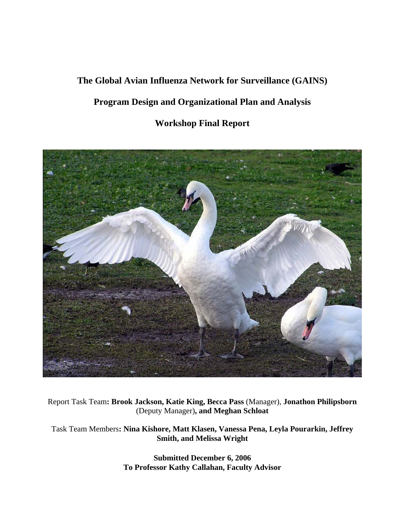# **The Global Avian Influenza Network for Surveillance (GAINS)**

# **Program Design and Organizational Plan and Analysis**

# **Workshop Final Report**



Report Task Team**: Brook Jackson, Katie King, Becca Pass** (Manager), **Jonathon Philipsborn**  (Deputy Manager)**, and Meghan Schloat** 

Task Team Members**: Nina Kishore, Matt Klasen, Vanessa Pena, Leyla Pourarkin, Jeffrey Smith, and Melissa Wright** 

> **Submitted December 6, 2006 To Professor Kathy Callahan, Faculty Advisor**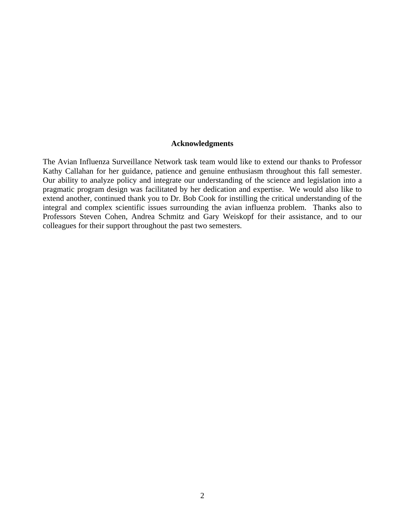# **Acknowledgments**

The Avian Influenza Surveillance Network task team would like to extend our thanks to Professor Kathy Callahan for her guidance, patience and genuine enthusiasm throughout this fall semester. Our ability to analyze policy and integrate our understanding of the science and legislation into a pragmatic program design was facilitated by her dedication and expertise. We would also like to extend another, continued thank you to Dr. Bob Cook for instilling the critical understanding of the integral and complex scientific issues surrounding the avian influenza problem. Thanks also to Professors Steven Cohen, Andrea Schmitz and Gary Weiskopf for their assistance, and to our colleagues for their support throughout the past two semesters.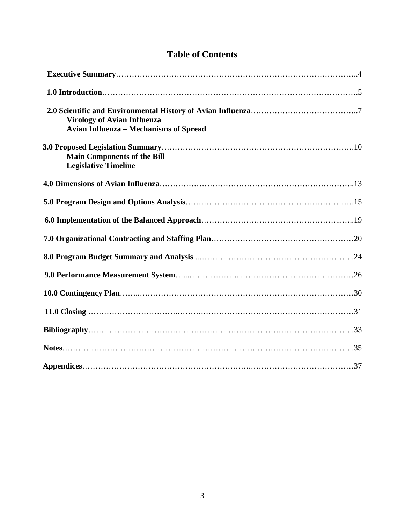# **Table of Contents**

| <b>Virology of Avian Influenza</b><br><b>Avian Influenza - Mechanisms of Spread</b> |  |
|-------------------------------------------------------------------------------------|--|
| <b>Main Components of the Bill</b><br><b>Legislative Timeline</b>                   |  |
|                                                                                     |  |
|                                                                                     |  |
|                                                                                     |  |
|                                                                                     |  |
|                                                                                     |  |
|                                                                                     |  |
|                                                                                     |  |
|                                                                                     |  |
|                                                                                     |  |
|                                                                                     |  |
|                                                                                     |  |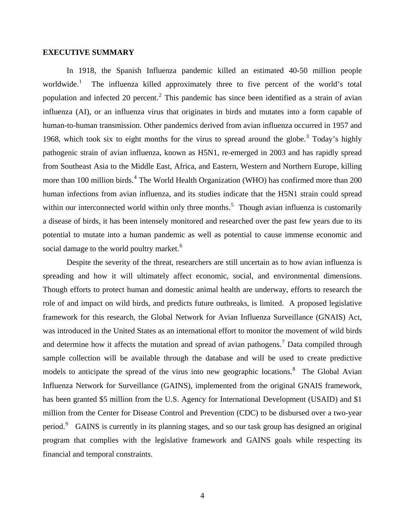#### **EXECUTIVE SUMMARY**

In 1918, the Spanish Influenza pandemic killed an estimated 40-50 million people worldwide. $<sup>1</sup>$  $<sup>1</sup>$  $<sup>1</sup>$ </sup> The influenza killed approximately three to five percent of the world's total population and infected [2](#page-35-1)0 percent.<sup>2</sup> This pandemic has since been identified as a strain of avian influenza (AI), or an influenza virus that originates in birds and mutates into a form capable of human-to-human transmission. Other pandemics derived from avian influenza occurred in 1957 and 1968, which took six to eight months for the virus to spread around the globe.<sup>[3](#page-35-1)</sup> Today's highly pathogenic strain of avian influenza, known as H5N1, re-emerged in 2003 and has rapidly spread from Southeast Asia to the Middle East, Africa, and Eastern, Western and Northern Europe, killing more than 100 million birds.<sup>[4](#page-35-1)</sup> The World Health Organization (WHO) has confirmed more than 200 human infections from avian influenza, and its studies indicate that the H5N1 strain could spread within our interconnected world within only three months.<sup>[5](#page-35-1)</sup> Though avian influenza is customarily a disease of birds, it has been intensely monitored and researched over the past few years due to its potential to mutate into a human pandemic as well as potential to cause immense economic and social damage to the world poultry market.<sup>[6](#page-35-1)</sup>

Despite the severity of the threat, researchers are still uncertain as to how avian influenza is spreading and how it will ultimately affect economic, social, and environmental dimensions. Though efforts to protect human and domestic animal health are underway, efforts to research the role of and impact on wild birds, and predicts future outbreaks, is limited. A proposed legislative framework for this research, the Global Network for Avian Influenza Surveillance (GNAIS) Act, was introduced in the United States as an international effort to monitor the movement of wild birds and determine how it affects the mutation and spread of avian pathogens.<sup>[7](#page-35-1)</sup> Data compiled through sample collection will be available through the database and will be used to create predictive models to anticipate the spread of the virus into new geographic locations.<sup>[8](#page-35-1)</sup> The Global Avian Influenza Network for Surveillance (GAINS), implemented from the original GNAIS framework, has been granted \$5 million from the U.S. Agency for International Development (USAID) and \$1 million from the Center for Disease Control and Prevention (CDC) to be disbursed over a two-year period.<sup>[9](#page-35-1)</sup> GAINS is currently in its planning stages, and so our task group has designed an original program that complies with the legislative framework and GAINS goals while respecting its financial and temporal constraints.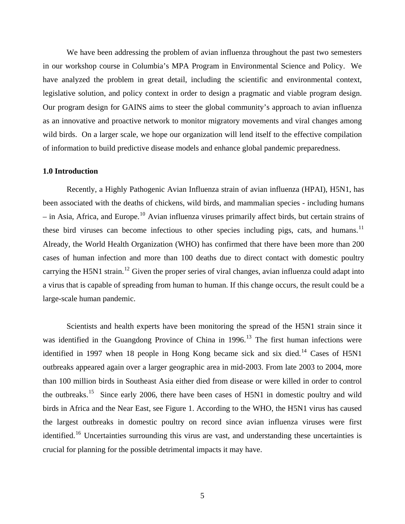We have been addressing the problem of avian influenza throughout the past two semesters in our workshop course in Columbia's MPA Program in Environmental Science and Policy. We have analyzed the problem in great detail, including the scientific and environmental context, legislative solution, and policy context in order to design a pragmatic and viable program design. Our program design for GAINS aims to steer the global community's approach to avian influenza as an innovative and proactive network to monitor migratory movements and viral changes among wild birds. On a larger scale, we hope our organization will lend itself to the effective compilation of information to build predictive disease models and enhance global pandemic preparedness.

# **1.0 Introduction**

Recently, a Highly Pathogenic Avian Influenza strain of avian influenza (HPAI), H5N1, has been associated with the deaths of chickens, wild birds, and mammalian species - including humans  $-$  in Asia, Africa, and Europe.<sup>[10](#page-35-1)</sup> Avian influenza viruses primarily affect birds, but certain strains of these bird viruses can become infectious to other species including pigs, cats, and humans.<sup>[11](#page-35-1)</sup> Already, the World Health Organization (WHO) has confirmed that there have been more than 200 cases of human infection and more than 100 deaths due to direct contact with domestic poultry carrying the H5N1 strain.<sup>[12](#page-35-1)</sup> Given the proper series of viral changes, avian influenza could adapt into a virus that is capable of spreading from human to human. If this change occurs, the result could be a large-scale human pandemic.

Scientists and health experts have been monitoring the spread of the H5N1 strain since it was identified in the Guangdong Province of China in 1996.<sup>[13](#page-35-1)</sup> The first human infections were identified in 1997 when 18 people in Hong Kong became sick and six died.<sup>[14](#page-35-1)</sup> Cases of H5N1 outbreaks appeared again over a larger geographic area in mid-2003. From late 2003 to 2004, more than 100 million birds in Southeast Asia either died from disease or were killed in order to control the outbreaks.<sup>[15](#page-35-1)</sup> Since early 2006, there have been cases of H5N1 in domestic poultry and wild birds in Africa and the Near East, see Figure 1. According to the WHO, the H5N1 virus has caused the largest outbreaks in domestic poultry on record since avian influenza viruses were first identified.<sup>[16](#page-35-1)</sup> Uncertainties surrounding this virus are vast, and understanding these uncertainties is crucial for planning for the possible detrimental impacts it may have.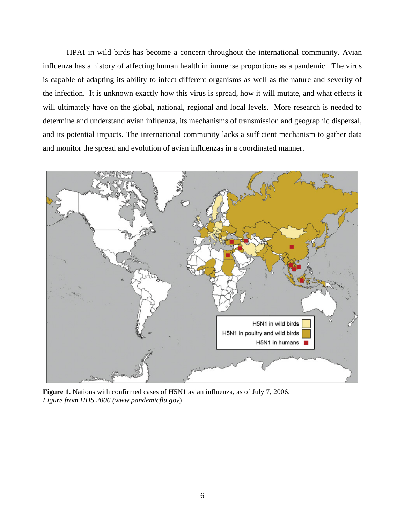HPAI in wild birds has become a concern throughout the international community. Avian influenza has a history of affecting human health in immense proportions as a pandemic. The virus is capable of adapting its ability to infect different organisms as well as the nature and severity of the infection. It is unknown exactly how this virus is spread, how it will mutate, and what effects it will ultimately have on the global, national, regional and local levels. More research is needed to determine and understand avian influenza, its mechanisms of transmission and geographic dispersal, and its potential impacts. The international community lacks a sufficient mechanism to gather data and monitor the spread and evolution of avian influenzas in a coordinated manner.



**Figure 1.** Nations with confirmed cases of H5N1 avian influenza, as of July 7, 2006. *Figure from HHS 2006 (www.pandemicflu.gov*)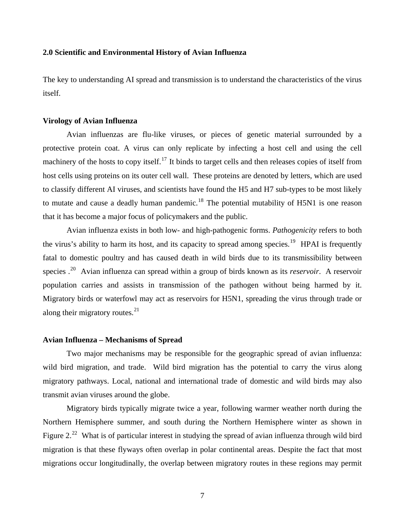#### **2.0 Scientific and Environmental History of Avian Influenza**

The key to understanding AI spread and transmission is to understand the characteristics of the virus itself.

#### **Virology of Avian Influenza**

Avian influenzas are flu-like viruses, or pieces of genetic material surrounded by a protective protein coat. A virus can only replicate by infecting a host cell and using the cell machinery of the hosts to copy itself.<sup>[17](#page-35-1)</sup> It binds to target cells and then releases copies of itself from host cells using proteins on its outer cell wall. These proteins are denoted by letters, which are used to classify different AI viruses, and scientists have found the H5 and H7 sub-types to be most likely to mutate and cause a deadly human pandemic.<sup>[18](#page-35-1)</sup> The potential mutability of H5N1 is one reason that it has become a major focus of policymakers and the public.

Avian influenza exists in both low- and high-pathogenic forms. *Pathogenicity* refers to both the virus's ability to harm its host, and its capacity to spread among species.<sup>[19](#page-35-1)</sup> HPAI is frequently fatal to domestic poultry and has caused death in wild birds due to its transmissibility between species .[20](#page-35-1) Avian influenza can spread within a group of birds known as its *reservoir*. A reservoir population carries and assists in transmission of the pathogen without being harmed by it. Migratory birds or waterfowl may act as reservoirs for H5N1, spreading the virus through trade or along their migratory routes. $^{21}$  $^{21}$  $^{21}$ 

#### **Avian Influenza – Mechanisms of Spread**

Two major mechanisms may be responsible for the geographic spread of avian influenza: wild bird migration, and trade. Wild bird migration has the potential to carry the virus along migratory pathways. Local, national and international trade of domestic and wild birds may also transmit avian viruses around the globe.

Migratory birds typically migrate twice a year, following warmer weather north during the Northern Hemisphere summer, and south during the Northern Hemisphere winter as shown in Figure 2.<sup>[22](#page-35-1)</sup> What is of particular interest in studying the spread of avian influenza through wild bird migration is that these flyways often overlap in polar continental areas. Despite the fact that most migrations occur longitudinally, the overlap between migratory routes in these regions may permit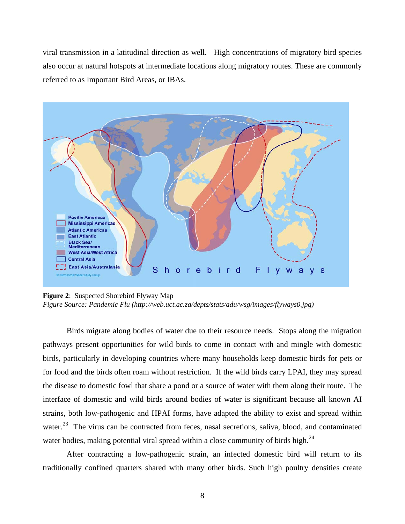viral transmission in a latitudinal direction as well. High concentrations of migratory bird species also occur at natural hotspots at intermediate locations along migratory routes. These are commonly referred to as Important Bird Areas, or IBAs.



**Figure 2**: Suspected Shorebird Flyway Map *Figure Source: Pandemic Flu (http://web.uct.ac.za/depts/stats/adu/wsg/images/flyways0.jpg)*

Birds migrate along bodies of water due to their resource needs. Stops along the migration pathways present opportunities for wild birds to come in contact with and mingle with domestic birds, particularly in developing countries where many households keep domestic birds for pets or for food and the birds often roam without restriction. If the wild birds carry LPAI, they may spread the disease to domestic fowl that share a pond or a source of water with them along their route. The interface of domestic and wild birds around bodies of water is significant because all known AI strains, both low-pathogenic and HPAI forms, have adapted the ability to exist and spread within water.<sup>[23](#page-35-1)</sup> The virus can be contracted from feces, nasal secretions, saliva, blood, and contaminated water bodies, making potential viral spread within a close community of birds high.<sup>[24](#page-35-1)</sup>

After contracting a low-pathogenic strain, an infected domestic bird will return to its traditionally confined quarters shared with many other birds. Such high poultry densities create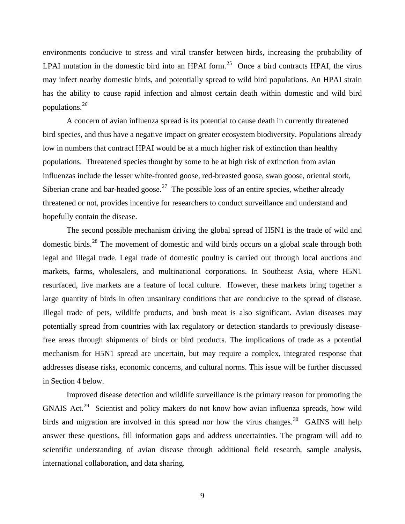environments conducive to stress and viral transfer between birds, increasing the probability of LPAI mutation in the domestic bird into an HPAI form.<sup>[25](#page-35-1)</sup> Once a bird contracts HPAI, the virus may infect nearby domestic birds, and potentially spread to wild bird populations. An HPAI strain has the ability to cause rapid infection and almost certain death within domestic and wild bird populations.[26](#page-35-1)

A concern of avian influenza spread is its potential to cause death in currently threatened bird species, and thus have a negative impact on greater ecosystem biodiversity. Populations already low in numbers that contract HPAI would be at a much higher risk of extinction than healthy populations. Threatened species thought by some to be at high risk of extinction from avian influenzas include the lesser white-fronted goose, red-breasted goose, swan goose, oriental stork, Siberian crane and bar-headed goose.<sup>[27](#page-35-1)</sup> The possible loss of an entire species, whether already threatened or not, provides incentive for researchers to conduct surveillance and understand and hopefully contain the disease.

The second possible mechanism driving the global spread of H5N1 is the trade of wild and domestic birds.<sup>[28](#page-35-1)</sup> The movement of domestic and wild birds occurs on a global scale through both legal and illegal trade. Legal trade of domestic poultry is carried out through local auctions and markets, farms, wholesalers, and multinational corporations. In Southeast Asia, where H5N1 resurfaced, live markets are a feature of local culture. However, these markets bring together a large quantity of birds in often unsanitary conditions that are conducive to the spread of disease. Illegal trade of pets, wildlife products, and bush meat is also significant. Avian diseases may potentially spread from countries with lax regulatory or detection standards to previously diseasefree areas through shipments of birds or bird products. The implications of trade as a potential mechanism for H5N1 spread are uncertain, but may require a complex, integrated response that addresses disease risks, economic concerns, and cultural norms. This issue will be further discussed in Section 4 below.

Improved disease detection and wildlife surveillance is the primary reason for promoting the GNAIS Act.<sup>[29](#page-35-1)</sup> Scientist and policy makers do not know how avian influenza spreads, how wild birds and migration are involved in this spread nor how the virus changes.<sup>[30](#page-35-1)</sup> GAINS will help answer these questions, fill information gaps and address uncertainties. The program will add to scientific understanding of avian disease through additional field research, sample analysis, international collaboration, and data sharing.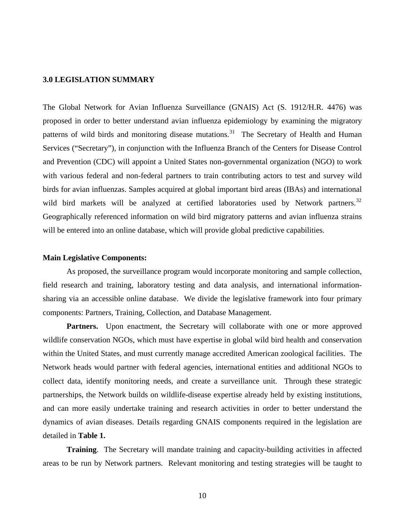#### **3.0 LEGISLATION SUMMARY**

The Global Network for Avian Influenza Surveillance (GNAIS) Act (S. 1912/H.R. 4476) was proposed in order to better understand avian influenza epidemiology by examining the migratory patterns of wild birds and monitoring disease mutations.<sup>[31](#page-35-1)</sup> The Secretary of Health and Human Services ("Secretary"), in conjunction with the Influenza Branch of the Centers for Disease Control and Prevention (CDC) will appoint a United States non-governmental organization (NGO) to work with various federal and non-federal partners to train contributing actors to test and survey wild birds for avian influenzas. Samples acquired at global important bird areas (IBAs) and international wild bird markets will be analyzed at certified laboratories used by Network partners.<sup>[32](#page-35-1)</sup> Geographically referenced information on wild bird migratory patterns and avian influenza strains will be entered into an online database, which will provide global predictive capabilities.

#### **Main Legislative Components:**

As proposed, the surveillance program would incorporate monitoring and sample collection, field research and training, laboratory testing and data analysis, and international informationsharing via an accessible online database. We divide the legislative framework into four primary components: Partners, Training, Collection, and Database Management.

**Partners.** Upon enactment, the Secretary will collaborate with one or more approved wildlife conservation NGOs, which must have expertise in global wild bird health and conservation within the United States, and must currently manage accredited American zoological facilities. The Network heads would partner with federal agencies, international entities and additional NGOs to collect data, identify monitoring needs, and create a surveillance unit. Through these strategic partnerships, the Network builds on wildlife-disease expertise already held by existing institutions, and can more easily undertake training and research activities in order to better understand the dynamics of avian diseases. Details regarding GNAIS components required in the legislation are detailed in **Table 1.**

**Training**. The Secretary will mandate training and capacity-building activities in affected areas to be run by Network partners. Relevant monitoring and testing strategies will be taught to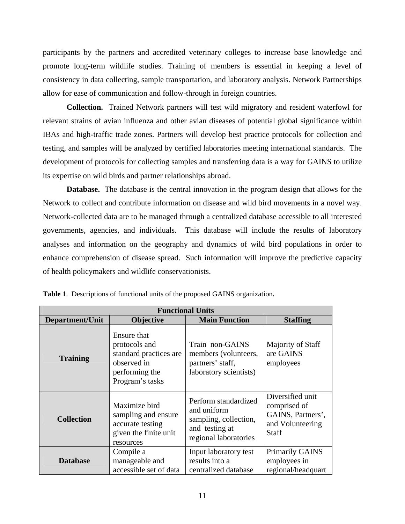participants by the partners and accredited veterinary colleges to increase base knowledge and promote long-term wildlife studies. Training of members is essential in keeping a level of consistency in data collecting, sample transportation, and laboratory analysis. Network Partnerships allow for ease of communication and follow-through in foreign countries.

 **Collection.** Trained Network partners will test wild migratory and resident waterfowl for relevant strains of avian influenza and other avian diseases of potential global significance within IBAs and high-traffic trade zones. Partners will develop best practice protocols for collection and testing, and samples will be analyzed by certified laboratories meeting international standards. The development of protocols for collecting samples and transferring data is a way for GAINS to utilize its expertise on wild birds and partner relationships abroad.

**Database.** The database is the central innovation in the program design that allows for the Network to collect and contribute information on disease and wild bird movements in a novel way. Network-collected data are to be managed through a centralized database accessible to all interested governments, agencies, and individuals. This database will include the results of laboratory analyses and information on the geography and dynamics of wild bird populations in order to enhance comprehension of disease spread. Such information will improve the predictive capacity of health policymakers and wildlife conservationists.

| <b>Functional Units</b> |                                                                                                            |                                                                                                         |                                                                                    |
|-------------------------|------------------------------------------------------------------------------------------------------------|---------------------------------------------------------------------------------------------------------|------------------------------------------------------------------------------------|
| Department/Unit         | <b>Objective</b>                                                                                           | <b>Main Function</b>                                                                                    | <b>Staffing</b>                                                                    |
| <b>Training</b>         | Ensure that<br>protocols and<br>standard practices are<br>observed in<br>performing the<br>Program's tasks | Train non-GAINS<br>members (volunteers,<br>partners' staff,<br>laboratory scientists)                   | Majority of Staff<br>are GAINS<br>employees                                        |
| <b>Collection</b>       | Maximize bird<br>sampling and ensure<br>accurate testing<br>given the finite unit<br>resources             | Perform standardized<br>and uniform<br>sampling, collection,<br>and testing at<br>regional laboratories | Diversified unit<br>comprised of<br>GAINS, Partners',<br>and Volunteering<br>Staff |
| <b>Database</b>         | Compile a<br>manageable and<br>accessible set of data                                                      | Input laboratory test<br>results into a<br>centralized database                                         | <b>Primarily GAINS</b><br>employees in<br>regional/headquart                       |

**Table 1**. Descriptions of functional units of the proposed GAINS organization**.**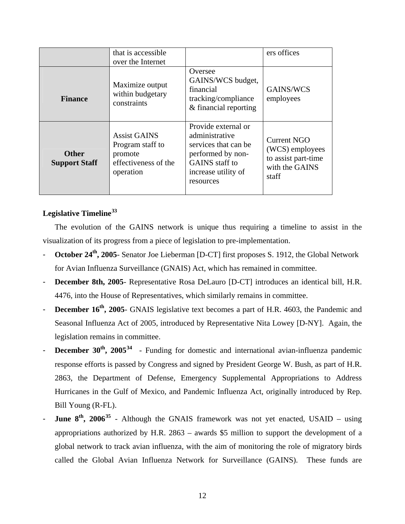|                                      | that is accessible.<br>over the Internet                                                |                                                                                                                                                 | ers offices                                                                      |
|--------------------------------------|-----------------------------------------------------------------------------------------|-------------------------------------------------------------------------------------------------------------------------------------------------|----------------------------------------------------------------------------------|
| <b>Finance</b>                       | Maximize output<br>within budgetary<br>constraints                                      | Oversee<br>GAINS/WCS budget,<br>financial<br>tracking/compliance<br>& financial reporting                                                       | GAINS/WCS<br>employees                                                           |
| <b>Other</b><br><b>Support Staff</b> | <b>Assist GAINS</b><br>Program staff to<br>promote<br>effectiveness of the<br>operation | Provide external or<br>administrative<br>services that can be<br>performed by non-<br><b>GAINS</b> staff to<br>increase utility of<br>resources | Current NGO<br>(WCS) employees<br>to assist part-time<br>with the GAINS<br>staff |

# **Legislative Timeline[33](#page-35-1)**

The evolution of the GAINS network is unique thus requiring a timeline to assist in the visualization of its progress from a piece of legislation to pre-implementation.

- **October 24<sup>th</sup>**, 2005- Senator Joe Lieberman [D-CT] first proposes S. 1912, the Global Network for Avian Influenza Surveillance (GNAIS) Act, which has remained in committee.
- **December 8th, 2005** Representative Rosa DeLauro [D-CT] introduces an identical bill, H.R. 4476, into the House of Representatives, which similarly remains in committee.
- **December 16<sup>th</sup>, 2005** GNAIS legislative text becomes a part of H.R. 4603, the Pandemic and Seasonal Influenza Act of 2005, introduced by Representative Nita Lowey [D-NY]. Again, the legislation remains in committee.
- **December 30<sup>th</sup>, 2005<sup>[34](#page-35-1)</sup>** Funding for domestic and international avian-influenza pandemic response efforts is passed by Congress and signed by President George W. Bush, as part of H.R. 2863, the Department of Defense, Emergency Supplemental Appropriations to Address Hurricanes in the Gulf of Mexico, and Pandemic Influenza Act, originally introduced by Rep. Bill Young (R-FL).
- **June 8<sup>th</sup>, 2006<sup>[35](#page-35-1)</sup>** Although the GNAIS framework was not yet enacted, USAID using appropriations authorized by H.R. 2863 – awards \$5 million to support the development of a global network to track avian influenza, with the aim of monitoring the role of migratory birds called the Global Avian Influenza Network for Surveillance (GAINS). These funds are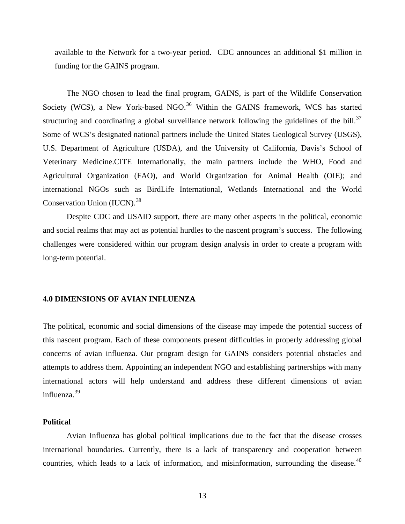available to the Network for a two-year period. CDC announces an additional \$1 million in funding for the GAINS program.

The NGO chosen to lead the final program, GAINS, is part of the Wildlife Conservation Society (WCS), a New York-based NGO.<sup>[36](#page-35-1)</sup> Within the GAINS framework, WCS has started structuring and coordinating a global surveillance network following the guidelines of the bill. $37$ Some of WCS's designated national partners include the United States Geological Survey (USGS), U.S. Department of Agriculture (USDA), and the University of California, Davis's School of Veterinary Medicine.CITE Internationally, the main partners include the WHO, Food and Agricultural Organization (FAO), and World Organization for Animal Health (OIE); and international NGOs such as BirdLife International, Wetlands International and the World Conservation Union (IUCN).<sup>[38](#page-35-1)</sup>

Despite CDC and USAID support, there are many other aspects in the political, economic and social realms that may act as potential hurdles to the nascent program's success. The following challenges were considered within our program design analysis in order to create a program with long-term potential.

#### **4.0 DIMENSIONS OF AVIAN INFLUENZA**

The political, economic and social dimensions of the disease may impede the potential success of this nascent program. Each of these components present difficulties in properly addressing global concerns of avian influenza. Our program design for GAINS considers potential obstacles and attempts to address them. Appointing an independent NGO and establishing partnerships with many international actors will help understand and address these different dimensions of avian influenza.[39](#page-35-1)

# **Political**

Avian Influenza has global political implications due to the fact that the disease crosses international boundaries. Currently, there is a lack of transparency and cooperation between countries, which leads to a lack of information, and misinformation, surrounding the disease. $40$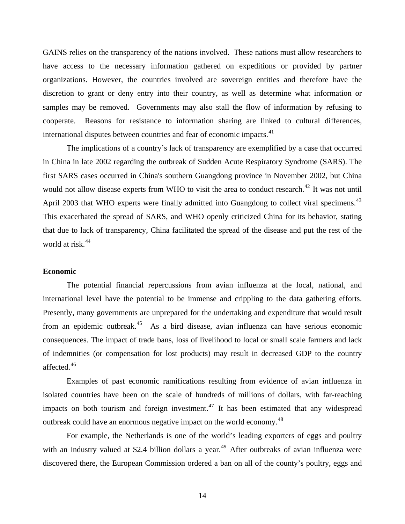GAINS relies on the transparency of the nations involved. These nations must allow researchers to have access to the necessary information gathered on expeditions or provided by partner organizations. However, the countries involved are sovereign entities and therefore have the discretion to grant or deny entry into their country, as well as determine what information or samples may be removed. Governments may also stall the flow of information by refusing to cooperate. Reasons for resistance to information sharing are linked to cultural differences, international disputes between countries and fear of economic impacts.<sup>[41](#page-35-1)</sup>

The implications of a country's lack of transparency are exemplified by a case that occurred in China in late 2002 regarding the outbreak of Sudden Acute Respiratory Syndrome (SARS). The first SARS cases occurred in China's southern Guangdong province in November 2002, but China would not allow disease experts from WHO to visit the area to conduct research.<sup>[42](#page-35-1)</sup> It was not until April 2003 that WHO experts were finally admitted into Guangdong to collect viral specimens.<sup>[43](#page-35-1)</sup> This exacerbated the spread of SARS, and WHO openly criticized China for its behavior, stating that due to lack of transparency, China facilitated the spread of the disease and put the rest of the world at risk.<sup>[44](#page-35-1)</sup>

#### **Economic**

The potential financial repercussions from avian influenza at the local, national, and international level have the potential to be immense and crippling to the data gathering efforts. Presently, many governments are unprepared for the undertaking and expenditure that would result from an epidemic outbreak.[45](#page-35-1) As a bird disease, avian influenza can have serious economic consequences. The impact of trade bans, loss of livelihood to local or small scale farmers and lack of indemnities (or compensation for lost products) may result in decreased GDP to the country affected.<sup>[46](#page-35-1)</sup>

Examples of past economic ramifications resulting from evidence of avian influenza in isolated countries have been on the scale of hundreds of millions of dollars, with far-reaching impacts on both tourism and foreign investment.<sup>[47](#page-35-1)</sup> It has been estimated that any widespread outbreak could have an enormous negative impact on the world economy.<sup>[48](#page-35-1)</sup>

For example, the Netherlands is one of the world's leading exporters of eggs and poultry with an industry valued at \$2.4 billion dollars a year.<sup>[49](#page-35-1)</sup> After outbreaks of avian influenza were discovered there, the European Commission ordered a ban on all of the county's poultry, eggs and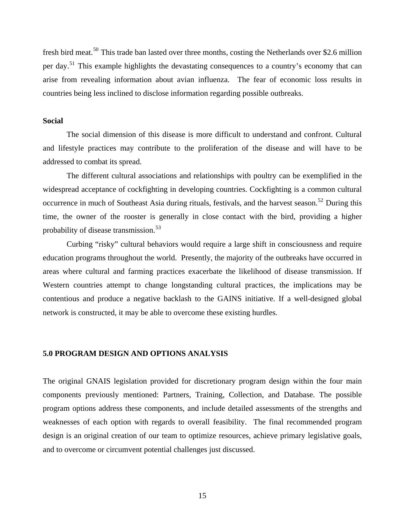fresh bird meat.<sup>[50](#page-35-1)</sup> This trade ban lasted over three months, costing the Netherlands over \$2.6 million per day.<sup>[51](#page-35-1)</sup> This example highlights the devastating consequences to a country's economy that can arise from revealing information about avian influenza. The fear of economic loss results in countries being less inclined to disclose information regarding possible outbreaks.

## **Social**

The social dimension of this disease is more difficult to understand and confront. Cultural and lifestyle practices may contribute to the proliferation of the disease and will have to be addressed to combat its spread.

The different cultural associations and relationships with poultry can be exemplified in the widespread acceptance of cockfighting in developing countries. Cockfighting is a common cultural occurrence in much of Southeast Asia during rituals, festivals, and the harvest season.<sup>[52](#page-35-1)</sup> During this time, the owner of the rooster is generally in close contact with the bird, providing a higher probability of disease transmission.<sup>[53](#page-35-1)</sup>

Curbing "risky" cultural behaviors would require a large shift in consciousness and require education programs throughout the world. Presently, the majority of the outbreaks have occurred in areas where cultural and farming practices exacerbate the likelihood of disease transmission. If Western countries attempt to change longstanding cultural practices, the implications may be contentious and produce a negative backlash to the GAINS initiative. If a well-designed global network is constructed, it may be able to overcome these existing hurdles.

## **5.0 PROGRAM DESIGN AND OPTIONS ANALYSIS**

The original GNAIS legislation provided for discretionary program design within the four main components previously mentioned: Partners, Training, Collection, and Database. The possible program options address these components, and include detailed assessments of the strengths and weaknesses of each option with regards to overall feasibility. The final recommended program design is an original creation of our team to optimize resources, achieve primary legislative goals, and to overcome or circumvent potential challenges just discussed.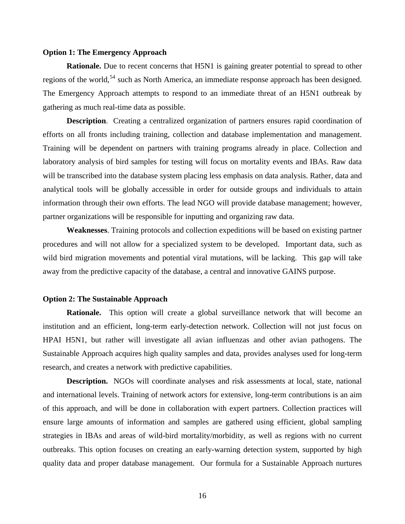#### **Option 1: The Emergency Approach**

**Rationale.** Due to recent concerns that H5N1 is gaining greater potential to spread to other regions of the world,<sup>[54](#page-35-1)</sup> such as North America, an immediate response approach has been designed. The Emergency Approach attempts to respond to an immediate threat of an H5N1 outbreak by gathering as much real-time data as possible.

**Description.** Creating a centralized organization of partners ensures rapid coordination of efforts on all fronts including training, collection and database implementation and management. Training will be dependent on partners with training programs already in place. Collection and laboratory analysis of bird samples for testing will focus on mortality events and IBAs. Raw data will be transcribed into the database system placing less emphasis on data analysis. Rather, data and analytical tools will be globally accessible in order for outside groups and individuals to attain information through their own efforts. The lead NGO will provide database management; however, partner organizations will be responsible for inputting and organizing raw data.

**Weaknesses**. Training protocols and collection expeditions will be based on existing partner procedures and will not allow for a specialized system to be developed. Important data, such as wild bird migration movements and potential viral mutations, will be lacking. This gap will take away from the predictive capacity of the database, a central and innovative GAINS purpose.

#### **Option 2: The Sustainable Approach**

**Rationale.** This option will create a global surveillance network that will become an institution and an efficient, long-term early-detection network. Collection will not just focus on HPAI H5N1, but rather will investigate all avian influenzas and other avian pathogens. The Sustainable Approach acquires high quality samples and data, provides analyses used for long-term research, and creates a network with predictive capabilities.

**Description.** NGOs will coordinate analyses and risk assessments at local, state, national and international levels. Training of network actors for extensive, long-term contributions is an aim of this approach, and will be done in collaboration with expert partners. Collection practices will ensure large amounts of information and samples are gathered using efficient, global sampling strategies in IBAs and areas of wild-bird mortality/morbidity, as well as regions with no current outbreaks. This option focuses on creating an early-warning detection system, supported by high quality data and proper database management. Our formula for a Sustainable Approach nurtures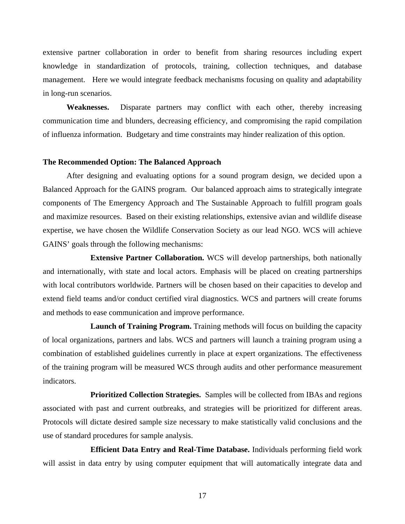extensive partner collaboration in order to benefit from sharing resources including expert knowledge in standardization of protocols, training, collection techniques, and database management. Here we would integrate feedback mechanisms focusing on quality and adaptability in long-run scenarios.

**Weaknesses.** Disparate partners may conflict with each other, thereby increasing communication time and blunders, decreasing efficiency, and compromising the rapid compilation of influenza information. Budgetary and time constraints may hinder realization of this option.

#### **The Recommended Option: The Balanced Approach**

After designing and evaluating options for a sound program design, we decided upon a Balanced Approach for the GAINS program. Our balanced approach aims to strategically integrate components of The Emergency Approach and The Sustainable Approach to fulfill program goals and maximize resources. Based on their existing relationships, extensive avian and wildlife disease expertise, we have chosen the Wildlife Conservation Society as our lead NGO. WCS will achieve GAINS' goals through the following mechanisms:

 **Extensive Partner Collaboration.** WCS will develop partnerships, both nationally and internationally, with state and local actors. Emphasis will be placed on creating partnerships with local contributors worldwide. Partners will be chosen based on their capacities to develop and extend field teams and/or conduct certified viral diagnostics. WCS and partners will create forums and methods to ease communication and improve performance.

 **Launch of Training Program.** Training methods will focus on building the capacity of local organizations, partners and labs. WCS and partners will launch a training program using a combination of established guidelines currently in place at expert organizations. The effectiveness of the training program will be measured WCS through audits and other performance measurement indicators.

 **Prioritized Collection Strategies.** Samples will be collected from IBAs and regions associated with past and current outbreaks, and strategies will be prioritized for different areas. Protocols will dictate desired sample size necessary to make statistically valid conclusions and the use of standard procedures for sample analysis.

 **Efficient Data Entry and Real-Time Database.** Individuals performing field work will assist in data entry by using computer equipment that will automatically integrate data and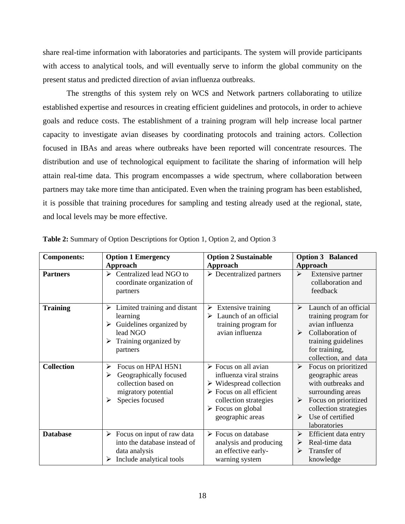share real-time information with laboratories and participants. The system will provide participants with access to analytical tools, and will eventually serve to inform the global community on the present status and predicted direction of avian influenza outbreaks.

The strengths of this system rely on WCS and Network partners collaborating to utilize established expertise and resources in creating efficient guidelines and protocols, in order to achieve goals and reduce costs. The establishment of a training program will help increase local partner capacity to investigate avian diseases by coordinating protocols and training actors. Collection focused in IBAs and areas where outbreaks have been reported will concentrate resources. The distribution and use of technological equipment to facilitate the sharing of information will help attain real-time data. This program encompasses a wide spectrum, where collaboration between partners may take more time than anticipated. Even when the training program has been established, it is possible that training procedures for sampling and testing already used at the regional, state, and local levels may be more effective.

| <b>Components:</b> | <b>Option 1 Emergency</b>                                                                                                           | <b>Option 2 Sustainable</b>                                                                                                                                                                                                          | <b>Option 3 Balanced</b>                                                                                                                                                                |
|--------------------|-------------------------------------------------------------------------------------------------------------------------------------|--------------------------------------------------------------------------------------------------------------------------------------------------------------------------------------------------------------------------------------|-----------------------------------------------------------------------------------------------------------------------------------------------------------------------------------------|
| <b>Partners</b>    | Approach<br>Centralized lead NGO to<br>➤<br>coordinate organization of<br>partners                                                  | Approach<br>$\triangleright$ Decentralized partners                                                                                                                                                                                  | Approach<br>$\blacktriangleright$<br>Extensive partner<br>collaboration and<br>feedback                                                                                                 |
| <b>Training</b>    | Limited training and distant<br>➤<br>learning<br>Guidelines organized by<br>➤<br>lead NGO<br>Training organized by<br>➤<br>partners | Extensive training<br>➤<br>Launch of an official<br>➤<br>training program for<br>avian influenza                                                                                                                                     | Launch of an official<br>$\blacktriangleright$<br>training program for<br>avian influenza<br>Collaboration of<br>➤<br>training guidelines<br>for training,<br>collection, and data      |
| <b>Collection</b>  | Focus on HPAI H5N1<br>➤<br>Geographically focused<br>➤<br>collection based on<br>migratory potential<br>Species focused<br>➤        | $\triangleright$ Focus on all avian<br>influenza viral strains<br>$\triangleright$ Widespread collection<br>$\triangleright$ Focus on all efficient<br>collection strategies<br>$\triangleright$ Focus on global<br>geographic areas | ➤<br>Focus on prioritized<br>geographic areas<br>with outbreaks and<br>surrounding areas<br>Focus on prioritized<br>≻<br>collection strategies<br>Use of certified<br>⋗<br>laboratories |
| <b>Database</b>    | Focus on input of raw data<br>➤<br>into the database instead of<br>data analysis<br>Include analytical tools<br>➤                   | $\triangleright$ Focus on database<br>analysis and producing<br>an effective early-<br>warning system                                                                                                                                | Efficient data entry<br>➤<br>Real-time data<br>➤<br>Transfer of<br>⋗<br>knowledge                                                                                                       |

**Table 2:** Summary of Option Descriptions for Option 1, Option 2, and Option 3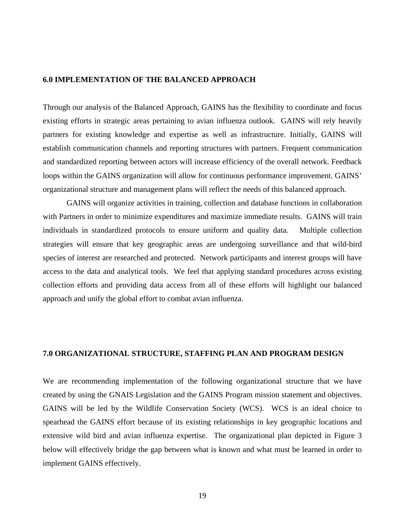## **6.0 IMPLEMENTATION OF THE BALANCED APPROACH**

Through our analysis of the Balanced Approach, GAINS has the flexibility to coordinate and focus existing efforts in strategic areas pertaining to avian influenza outlook. GAINS will rely heavily partners for existing knowledge and expertise as well as infrastructure. Initially, GAINS will establish communication channels and reporting structures with partners. Frequent communication and standardized reporting between actors will increase efficiency of the overall network. Feedback loops within the GAINS organization will allow for continuous performance improvement. GAINS' organizational structure and management plans will reflect the needs of this balanced approach.

GAINS will organize activities in training, collection and database functions in collaboration with Partners in order to minimize expenditures and maximize immediate results. GAINS will train individuals in standardized protocols to ensure uniform and quality data. Multiple collection strategies will ensure that key geographic areas are undergoing surveillance and that wild-bird species of interest are researched and protected. Network participants and interest groups will have access to the data and analytical tools. We feel that applying standard procedures across existing collection efforts and providing data access from all of these efforts will highlight our balanced approach and unify the global effort to combat avian influenza.

## **7.0 ORGANIZATIONAL STRUCTURE, STAFFING PLAN AND PROGRAM DESIGN**

We are recommending implementation of the following organizational structure that we have created by using the GNAIS Legislation and the GAINS Program mission statement and objectives. GAINS will be led by the Wildlife Conservation Society (WCS). WCS is an ideal choice to spearhead the GAINS effort because of its existing relationships in key geographic locations and extensive wild bird and avian influenza expertise. The organizational plan depicted in Figure 3 below will effectively bridge the gap between what is known and what must be learned in order to implement GAINS effectively.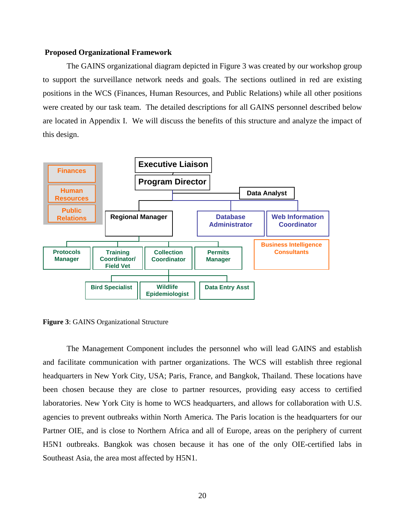#### **Proposed Organizational Framework**

The GAINS organizational diagram depicted in Figure 3 was created by our workshop group to support the surveillance network needs and goals. The sections outlined in red are existing positions in the WCS (Finances, Human Resources, and Public Relations) while all other positions were created by our task team. The detailed descriptions for all GAINS personnel described below are located in Appendix I. We will discuss the benefits of this structure and analyze the impact of this design.



**Figure 3**: GAINS Organizational Structure

The Management Component includes the personnel who will lead GAINS and establish and facilitate communication with partner organizations. The WCS will establish three regional headquarters in New York City, USA; Paris, France, and Bangkok, Thailand. These locations have been chosen because they are close to partner resources, providing easy access to certified laboratories. New York City is home to WCS headquarters, and allows for collaboration with U.S. agencies to prevent outbreaks within North America. The Paris location is the headquarters for our Partner OIE, and is close to Northern Africa and all of Europe, areas on the periphery of current H5N1 outbreaks. Bangkok was chosen because it has one of the only OIE-certified labs in Southeast Asia, the area most affected by H5N1.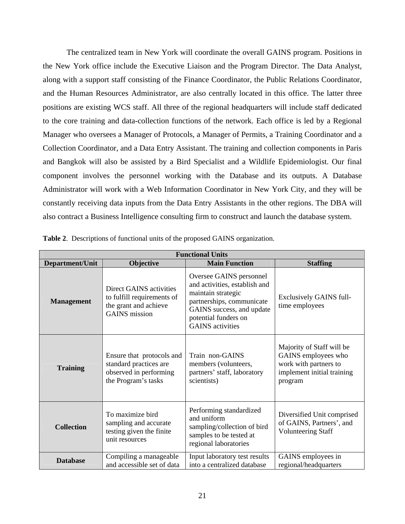The centralized team in New York will coordinate the overall GAINS program. Positions in the Ne w York office include the Executive Liaison and the Program Director. The Data Analyst, along with a support staff consisting of the Finance Coordinator, the Public Relations Coordinator, and the Human Resources Administrator, are also centrally located in this office. The latter three positions are existing WCS staff. All three of the regional headquarters will include staff dedicated to the core training and data-collection functions of the network. Each office is led by a Regional Manager who oversees a Manager of Protocols, a Manager of Permits, a Training Coordinator and a Collection Coordinator, and a Data Entry Assistant. The training and collection components in Paris and Bangkok will also be assisted by a Bird Specialist and a Wildlife Epidemiologist. Our final component involves the personnel working with the Database and its outputs. A Database Administrator will work with a Web Information Coordinator in New York City, and they will be constantly receiving data inputs from the Data Entry Assistants in the other regions. The DBA will also contract a Business Intelligence consulting firm to construct and launch the database system.

| <b>Functional Units</b> |                                                                                                        |                                                                                                                                                                                             |                                                                                                                    |
|-------------------------|--------------------------------------------------------------------------------------------------------|---------------------------------------------------------------------------------------------------------------------------------------------------------------------------------------------|--------------------------------------------------------------------------------------------------------------------|
| Department/Unit         | <b>Objective</b>                                                                                       | <b>Main Function</b>                                                                                                                                                                        | <b>Staffing</b>                                                                                                    |
| <b>Management</b>       | Direct GAINS activities<br>to fulfill requirements of<br>the grant and achieve<br><b>GAINS</b> mission | Oversee GAINS personnel<br>and activities, establish and<br>maintain strategic<br>partnerships, communicate<br>GAINS success, and update<br>potential funders on<br><b>GAINS</b> activities | <b>Exclusively GAINS full-</b><br>time employees                                                                   |
| <b>Training</b>         | Ensure that protocols and<br>standard practices are<br>observed in performing<br>the Program's tasks   | Train non-GAINS<br>members (volunteers,<br>partners' staff, laboratory<br>scientists)                                                                                                       | Majority of Staff will be<br>GAINS employees who<br>work with partners to<br>implement initial training<br>program |
| <b>Collection</b>       | To maximize bird<br>sampling and accurate<br>testing given the finite<br>unit resources                | Performing standardized<br>and uniform<br>sampling/collection of bird<br>samples to be tested at<br>regional laboratories                                                                   | Diversified Unit comprised<br>of GAINS, Partners', and<br><b>Volunteering Staff</b>                                |
| <b>Database</b>         | Compiling a manageable<br>and accessible set of data                                                   | Input laboratory test results<br>into a centralized database                                                                                                                                | GAINS employees in<br>regional/headquarters                                                                        |

. Descriptions of functional units of the proposed GAINS organization. **Table 2**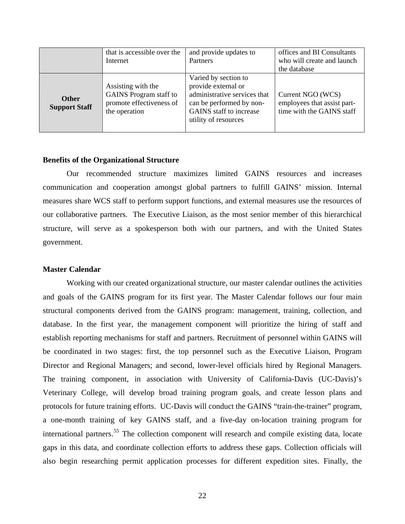|                                      | that is accessible over the<br>Internet                                                          | and provide updates to<br>Partners                                                                                                                         | offices and BI Consultants<br>who will create and launch<br>the database      |
|--------------------------------------|--------------------------------------------------------------------------------------------------|------------------------------------------------------------------------------------------------------------------------------------------------------------|-------------------------------------------------------------------------------|
| <b>Other</b><br><b>Support Staff</b> | Assisting with the<br><b>GAINS</b> Program staff to<br>promote effectiveness of<br>the operation | Varied by section to<br>provide external or<br>administrative services that<br>can be performed by non-<br>GAINS staff to increase<br>utility of resources | Current NGO (WCS)<br>employees that assist part-<br>time with the GAINS staff |

#### **enefits of the Organizational Structure B**

Our recommended structure maximizes limited GAINS resources and increases commu nication and cooperation amongst global partners to fulfill GAINS' mission. Internal measures share WCS staff to perform support functions, and external measures use the resources of our collaborative partners. The Executive Liaison, as the most senior member of this hierarchical structure, will serve as a spokesperson both with our partners, and with the United States government.

#### **Master Calendar**

Working with our created organizational structure, our master calendar outlines the activities and go als of the GAINS program for its first year. The Master Calendar follows our four main structural components derived from the GAINS program: management, training, collection, and database. In the first year, the management component will prioritize the hiring of staff and establish reporting mechanisms for staff and partners. Recruitment of personnel within GAINS will be coordinated in two stages: first, the top personnel such as the Executive Liaison, Program Director and Regional Managers; and second, lower-level officials hired by Regional Managers. The training component, in association with University of California-Davis (UC-Davis)'s Veterinary College, will develop broad training program goals, and create lesson plans and protocols for future training efforts. UC-Davis will conduct the GAINS "train-the-trainer" program, a one-month training of key GAINS staff, and a five-day on-location training program for international partners.<sup>[55](#page-35-1)</sup> The collection component will research and compile existing data, locate gaps in this data, and coordinate collection efforts to address these gaps. Collection officials will also begin researching permit application processes for different expedition sites. Finally, the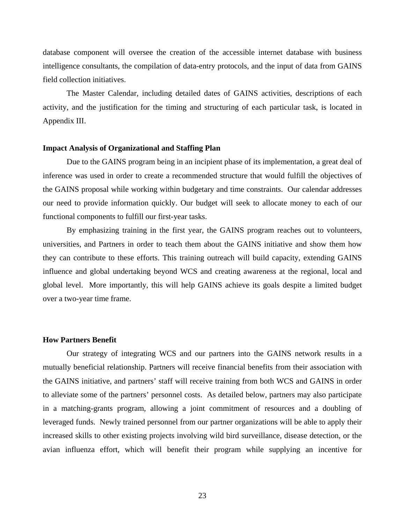database component will oversee the creation of the accessible internet database with business intelligence consultants, the compilation of data-entry protocols, and the input of data from GAINS field collection initiatives.

The Master Calendar, including detailed dates of GAINS activities, descriptions of each activity, and the justification for the timing and structuring of each particular task, is located in Appendix III.

#### **Impact Analysis of Organizational and Staffing Plan**

Due to the GAINS program being in an incipient phase of its implementation, a great deal of inference was used in order to create a recommended structure that would fulfill the objectives of the GAINS proposal while working within budgetary and time constraints. Our calendar addresses our need to provide information quickly. Our budget will seek to allocate money to each of our functional components to fulfill our first-year tasks.

By emphasizing training in the first year, the GAINS program reaches out to volunteers, universities, and Partners in order to teach them about the GAINS initiative and show them how they can contribute to these efforts. This training outreach will build capacity, extending GAINS influence and global undertaking beyond WCS and creating awareness at the regional, local and global level. More importantly, this will help GAINS achieve its goals despite a limited budget over a two-year time frame.

# **How Partners Benefit**

Our strategy of integrating WCS and our partners into the GAINS network results in a mutually beneficial relationship. Partners will receive financial benefits from their association with the GAINS initiative, and partners' staff will receive training from both WCS and GAINS in order to alleviate some of the partners' personnel costs. As detailed below, partners may also participate in a matching-grants program, allowing a joint commitment of resources and a doubling of leveraged funds. Newly trained personnel from our partner organizations will be able to apply their increased skills to other existing projects involving wild bird surveillance, disease detection, or the avian influenza effort, which will benefit their program while supplying an incentive for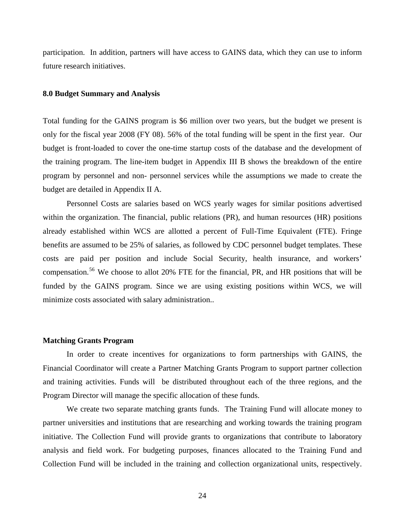participation. In addition, partners will have access to GAINS data, which they can use to inform future research initiatives.

#### **8.0 Budget Summary and Analysis**

Total funding for the GAINS program is \$6 million over two years, but the budget we present is only for the fiscal year 2008 (FY 08). 56% of the total funding will be spent in the first year. Our budget is front-loaded to cover the one-time startup costs of the database and the development of the training program. The line-item budget in Appendix III B shows the breakdown of the entire program by personnel and non- personnel services while the assumptions we made to create the budget are detailed in Appendix II A.

Personnel Costs are salaries based on WCS yearly wages for similar positions advertised within the organization. The financial, public relations (PR), and human resources (HR) positions already established within WCS are allotted a percent of Full-Time Equivalent (FTE). Fringe benefits are assumed to be 25% of salaries, as followed by CDC personnel budget templates. These costs are paid per position and include Social Security, health insurance, and workers' compensation.[56](#page-35-1) We choose to allot 20% FTE for the financial, PR, and HR positions that will be funded by the GAINS program. Since we are using existing positions within WCS, we will minimize costs associated with salary administration..

# **Matching Grants Program**

In order to create incentives for organizations to form partnerships with GAINS, the Financial Coordinator will create a Partner Matching Grants Program to support partner collection and training activities. Funds will be distributed throughout each of the three regions, and the Program Director will manage the specific allocation of these funds.

 We create two separate matching grants funds. The Training Fund will allocate money to partner universities and institutions that are researching and working towards the training program initiative. The Collection Fund will provide grants to organizations that contribute to laboratory analysis and field work. For budgeting purposes, finances allocated to the Training Fund and Collection Fund will be included in the training and collection organizational units, respectively.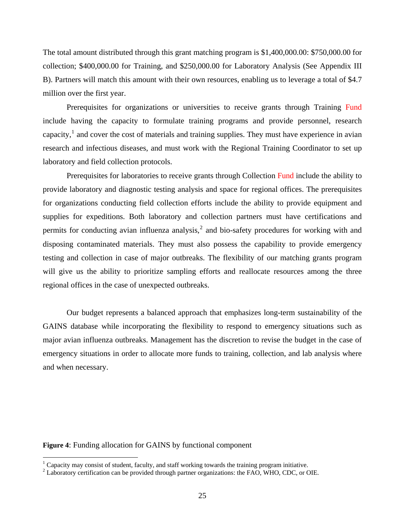The total amount distributed through this grant matching program is \$1,400,000.00: \$750,000.00 for collection; \$400,000.00 for Training, and \$250,000.00 for Laboratory Analysis (See Appendix III B). Partners will match this amount with their own resources, enabling us to leverage a total of \$4.7 million over the first year.

 Prerequisites for organizations or universities to receive grants through Training Fund include having the capacity to formulate training programs and provide personnel, research capacity, $\frac{1}{1}$  $\frac{1}{1}$  $\frac{1}{1}$  and cover the cost of materials and training supplies. They must have experience in avian research and infectious diseases, and must work with the Regional Training Coordinator to set up laboratory and field collection protocols.

 Prerequisites for laboratories to receive grants through Collection Fund include the ability to provide laboratory and diagnostic testing analysis and space for regional offices. The prerequisites for organizations conducting field collection efforts include the ability to provide equipment and supplies for expeditions. Both laboratory and collection partners must have certifications and permits for conducting avian influenza analysis,<sup>[2](#page-24-1)</sup> and bio-safety procedures for working with and disposing contaminated materials. They must also possess the capability to provide emergency testing and collection in case of major outbreaks. The flexibility of our matching grants program will give us the ability to prioritize sampling efforts and reallocate resources among the three regional offices in the case of unexpected outbreaks.

Our budget represents a balanced approach that emphasizes long-term sustainability of the GAINS database while incorporating the flexibility to respond to emergency situations such as major avian influenza outbreaks. Management has the discretion to revise the budget in the case of emergency situations in order to allocate more funds to training, collection, and lab analysis where and when necessary.

#### **Figure 4**: Funding allocation for GAINS by functional component

 $\overline{a}$ 

<span id="page-24-0"></span> $1$  Capacity may consist of student, faculty, and staff working towards the training program initiative.

<span id="page-24-1"></span> $^{2}$  Laboratory certification can be provided through partner organizations: the FAO, WHO, CDC, or OIE.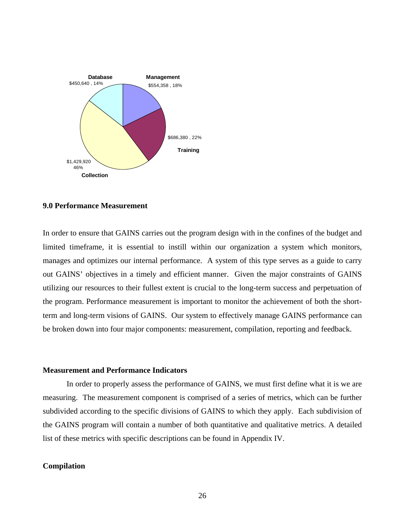

# **9.0 Performance Measurement**

In order to ensure that GAINS carries out the program design with in the confines of the budget and limited timeframe, it is essential to instill within our organization a system which monitors, manages and optimizes our internal performance. A system of this type serves as a guide to carry out GAINS' objectives in a timely and efficient manner. Given the major constraints of GAINS utilizing our resources to their fullest extent is crucial to the long-term success and perpetuation of the program. Performance measurement is important to monitor the achievement of both the shortterm and long-term visions of GAINS. Our system to effectively manage GAINS performance can be broken down into four major components: measurement, compilation, reporting and feedback.

#### **Measurement and Performance Indicators**

In order to properly assess the performance of GAINS, we must first define what it is we are measuring. The measurement component is comprised of a series of metrics, which can be further subdivided according to the specific divisions of GAINS to which they apply. Each subdivision of the GAINS program will contain a number of both quantitative and qualitative metrics. A detailed list of these metrics with specific descriptions can be found in Appendix IV.

# **Compilation**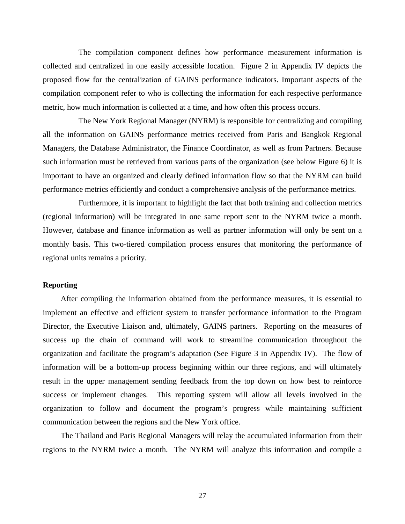The compilation component defines how performance measurement information is collected and centralized in one easily accessible location. Figure 2 in Appendix IV depicts the proposed flow for the centralization of GAINS performance indicators. Important aspects of the compilation component refer to who is collecting the information for each respective performance metric, how much information is collected at a time, and how often this process occurs.

The New York Regional Manager (NYRM) is responsible for centralizing and compiling all the information on GAINS performance metrics received from Paris and Bangkok Regional Managers, the Database Administrator, the Finance Coordinator, as well as from Partners. Because such information must be retrieved from various parts of the organization (see below Figure 6) it is important to have an organized and clearly defined information flow so that the NYRM can build performance metrics efficiently and conduct a comprehensive analysis of the performance metrics.

 Furthermore, it is important to highlight the fact that both training and collection metrics (regional information) will be integrated in one same report sent to the NYRM twice a month. However, database and finance information as well as partner information will only be sent on a monthly basis. This two-tiered compilation process ensures that monitoring the performance of regional units remains a priority.

# **Reporting**

 After compiling the information obtained from the performance measures, it is essential to implement an effective and efficient system to transfer performance information to the Program Director, the Executive Liaison and, ultimately, GAINS partners. Reporting on the measures of success up the chain of command will work to streamline communication throughout the organization and facilitate the program's adaptation (See Figure 3 in Appendix IV). The flow of information will be a bottom-up process beginning within our three regions, and will ultimately result in the upper management sending feedback from the top down on how best to reinforce success or implement changes. This reporting system will allow all levels involved in the organization to follow and document the program's progress while maintaining sufficient communication between the regions and the New York office.

 The Thailand and Paris Regional Managers will relay the accumulated information from their regions to the NYRM twice a month. The NYRM will analyze this information and compile a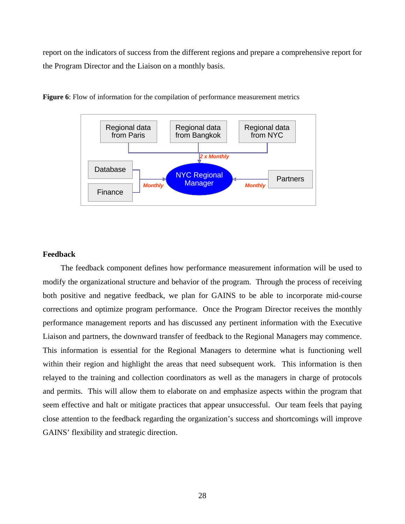report on the indicators of success from the different regions and prepare a comprehensive report for the Program Director and the Liaison on a monthly basis.



**Figure 6**: Flow of information for the compilation of performance measurement metrics

# **Feedback**

 The feedback component defines how performance measurement information will be used to modify the organizational structure and behavior of the program. Through the process of receiving both positive and negative feedback, we plan for GAINS to be able to incorporate mid-course corrections and optimize program performance. Once the Program Director receives the monthly performance management reports and has discussed any pertinent information with the Executive Liaison and partners, the downward transfer of feedback to the Regional Managers may commence. This information is essential for the Regional Managers to determine what is functioning well within their region and highlight the areas that need subsequent work. This information is then relayed to the training and collection coordinators as well as the managers in charge of protocols and permits. This will allow them to elaborate on and emphasize aspects within the program that seem effective and halt or mitigate practices that appear unsuccessful. Our team feels that paying close attention to the feedback regarding the organization's success and shortcomings will improve GAINS' flexibility and strategic direction.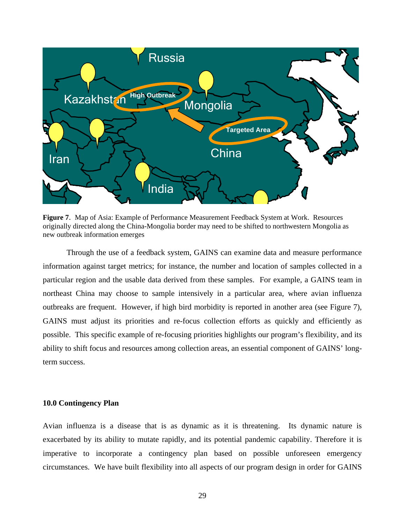

**Figure 7**. Map of Asia: Example of Performance Measurement Feedback System at Work. Resources originally directed along the China-Mongolia border may need to be shifted to northwestern Mongolia as new outbreak information emerges

Through the use of a feedback system, GAINS can examine data and measure performance information against target metrics; for instance, the number and location of samples collected in a particular region and the usable data derived from these samples. For example, a GAINS team in northeast China may choose to sample intensively in a particular area, where avian influenza outbreaks are frequent. However, if high bird morbidity is reported in another area (see Figure 7), GAINS must adjust its priorities and re-focus collection efforts as quickly and efficiently as possible. This specific example of re-focusing priorities highlights our program's flexibility, and its ability to shift focus and resources among collection areas, an essential component of GAINS' longterm success.

#### **10.0 Contingency Plan**

Avian influenza is a disease that is as dynamic as it is threatening. Its dynamic nature is exacerbated by its ability to mutate rapidly, and its potential pandemic capability. Therefore it is imperative to incorporate a contingency plan based on possible unforeseen emergency circumstances. We have built flexibility into all aspects of our program design in order for GAINS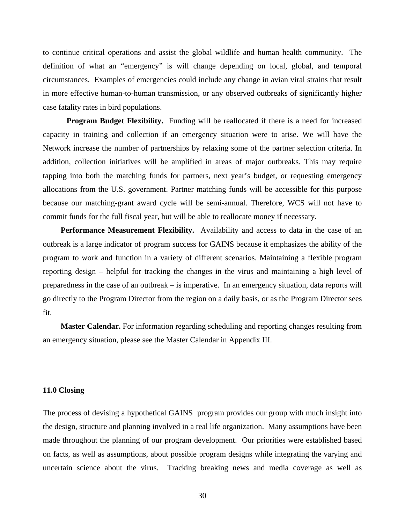to continue critical operations and assist the global wildlife and human health community. The definition of what an "emergency" is will change depending on local, global, and temporal circumstances. Examples of emergencies could include any change in avian viral strains that result in more effective human-to-human transmission, or any observed outbreaks of significantly higher case fatality rates in bird populations.

**Program Budget Flexibility.** Funding will be reallocated if there is a need for increased capacity in training and collection if an emergency situation were to arise. We will have the Network increase the number of partnerships by relaxing some of the partner selection criteria. In addition, collection initiatives will be amplified in areas of major outbreaks. This may require tapping into both the matching funds for partners, next year's budget, or requesting emergency allocations from the U.S. government. Partner matching funds will be accessible for this purpose because our matching-grant award cycle will be semi-annual. Therefore, WCS will not have to commit funds for the full fiscal year, but will be able to reallocate money if necessary.

 **Performance Measurement Flexibility.** Availability and access to data in the case of an outbreak is a large indicator of program success for GAINS because it emphasizes the ability of the program to work and function in a variety of different scenarios. Maintaining a flexible program reporting design – helpful for tracking the changes in the virus and maintaining a high level of preparedness in the case of an outbreak – is imperative. In an emergency situation, data reports will go directly to the Program Director from the region on a daily basis, or as the Program Director sees fit.

 **Master Calendar.** For information regarding scheduling and reporting changes resulting from an emergency situation, please see the Master Calendar in Appendix III.

#### **11.0 Closing**

The process of devising a hypothetical GAINS program provides our group with much insight into the design, structure and planning involved in a real life organization. Many assumptions have been made throughout the planning of our program development. Our priorities were established based on facts, as well as assumptions, about possible program designs while integrating the varying and uncertain science about the virus. Tracking breaking news and media coverage as well as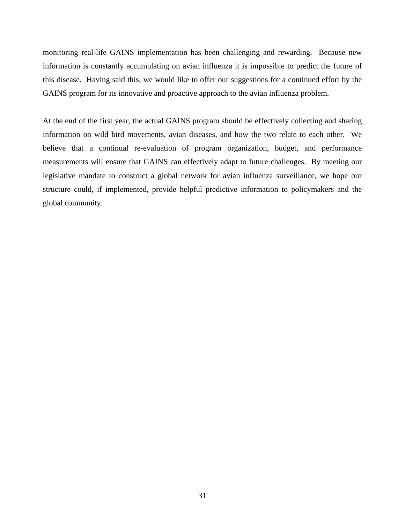monitoring real-life GAINS implementation has been challenging and rewarding. Because new information is constantly accumulating on avian influenza it is impossible to predict the future of this disease. Having said this, we would like to offer our suggestions for a continued effort by the GAINS program for its innovative and proactive approach to the avian influenza problem.

At the end of the first year, the actual GAINS program should be effectively collecting and sharing information on wild bird movements, avian diseases, and how the two relate to each other. We believe that a continual re-evaluation of program organization, budget, and performance measurements will ensure that GAINS can effectively adapt to future challenges. By meeting our legislative mandate to construct a global network for avian influenza surveillance, we hope our structure could, if implemented, provide helpful predictive information to policymakers and the global community.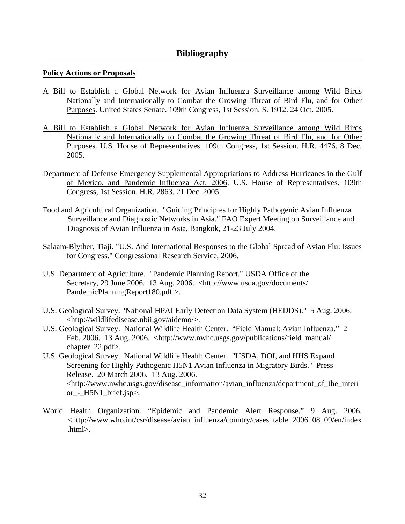# **Bibliography**

# **Policy Actions or Proposals**

- A Bill to Establish a Global Network for Avian Influenza Surveillance among Wild Birds Nationally and Internationally to Combat the Growing Threat of Bird Flu, and for Other Purposes. United States Senate. 109th Congress, 1st Session. S. 1912. 24 Oct. 2005.
- A Bill to Establish a Global Network for Avian Influenza Surveillance among Wild Birds Nationally and Internationally to Combat the Growing Threat of Bird Flu, and for Other Purposes. U.S. House of Representatives. 109th Congress, 1st Session. H.R. 4476. 8 Dec. 2005.
- Department of Defense Emergency Supplemental Appropriations to Address Hurricanes in the Gulf of Mexico, and Pandemic Influenza Act, 2006. U.S. House of Representatives. 109th Congress, 1st Session. H.R. 2863. 21 Dec. 2005.
- Food and Agricultural Organization. "Guiding Principles for Highly Pathogenic Avian Influenza Surveillance and Diagnostic Networks in Asia." FAO Expert Meeting on Surveillance and Diagnosis of Avian Influenza in Asia, Bangkok, 21-23 July 2004.
- Salaam-Blyther, Tiaji. "U.S. And International Responses to the Global Spread of Avian Flu: Issues for Congress." Congressional Research Service, 2006.
- U.S. Department of Agriculture. "Pandemic Planning Report." USDA Office of the Secretary, 29 June 2006. 13 Aug. 2006. <http://www.usda.gov/documents/ PandemicPlanningReport180.pdf >.
- U.S. Geological Survey. "National HPAI Early Detection Data System (HEDDS)." 5 Aug. 2006. <http://wildlifedisease.nbii.gov/aidemo/>.
- U.S. Geological Survey. National Wildlife Health Center. "Field Manual: Avian Influenza." 2 Feb. 2006. 13 Aug. 2006. <http://www.nwhc.usgs.gov/publications/field\_manual/ chapter 22.pdf>.
- U.S. Geological Survey. National Wildlife Health Center. "USDA, DOI, and HHS Expand Screening for Highly Pathogenic H5N1 Avian Influenza in Migratory Birds." Press Release. 20 March 2006. 13 Aug. 2006. <http://www.nwhc.usgs.gov/disease\_information/avian\_influenza/department\_of\_the\_interi or\_-\_H5N1\_brief.jsp>.
- World Health Organization. "Epidemic and Pandemic Alert Response." 9 Aug. 2006. <http://www.who.int/csr/disease/avian\_influenza/country/cases\_table\_2006\_08\_09/en/index .html>.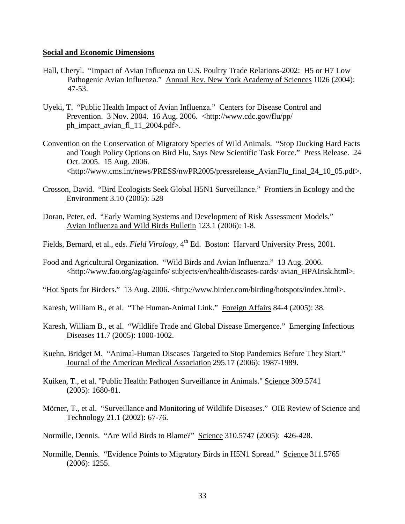#### **Social and Economic Dimensions**

- Hall, Cheryl. "Impact of Avian Influenza on U.S. Poultry Trade Relations-2002: H5 or H7 Low Pathogenic Avian Influenza." Annual Rev. New York Academy of Sciences 1026 (2004): 47-53.
- Uyeki, T. "Public Health Impact of Avian Influenza." Centers for Disease Control and Prevention. 3 Nov. 2004. 16 Aug. 2006. <http://www.cdc.gov/flu/pp/ ph\_impact\_avian\_fl\_11\_2004.pdf>.
- Convention on the Conservation of Migratory Species of Wild Animals. "Stop Ducking Hard Facts and Tough Policy Options on Bird Flu, Says New Scientific Task Force." Press Release. 24 Oct. 2005. 15 Aug. 2006. <http://www.cms.int/news/PRESS/nwPR2005/pressrelease\_AvianFlu\_final\_24\_10\_05.pdf>.
- Crosson, David. "Bird Ecologists Seek Global H5N1 Surveillance." Frontiers in Ecology and the Environment 3.10 (2005): 528
- Doran, Peter, ed. "Early Warning Systems and Development of Risk Assessment Models." Avian Influenza and Wild Birds Bulletin 123.1 (2006): 1-8.
- Fields, Bernard, et al., eds. *Field Virology*, 4<sup>th</sup> Ed. Boston: Harvard University Press, 2001.
- Food and Agricultural Organization. "Wild Birds and Avian Influenza." 13 Aug. 2006. <http://www.fao.org/ag/againfo/ subjects/en/health/diseases-cards/ avian\_HPAIrisk.html>.
- "Hot Spots for Birders." 13 Aug. 2006. <http://www.birder.com/birding/hotspots/index.html>.
- Karesh, William B., et al. "The Human-Animal Link." Foreign Affairs 84-4 (2005): 38.
- Karesh, William B., et al. "Wildlife Trade and Global Disease Emergence." Emerging Infectious Diseases 11.7 (2005): 1000-1002.
- Kuehn, Bridget M. "Animal-Human Diseases Targeted to Stop Pandemics Before They Start." Journal of the American Medical Association 295.17 (2006): 1987-1989.
- Kuiken, T., et al. "Public Health: Pathogen Surveillance in Animals." Science 309.5741 (2005): 1680-81.
- Mörner, T., et al. "Surveillance and Monitoring of Wildlife Diseases." OIE Review of Science and Technology 21.1 (2002): 67-76.
- Normille, Dennis. "Are Wild Birds to Blame?" Science 310.5747 (2005): 426-428.
- Normille, Dennis. "Evidence Points to Migratory Birds in H5N1 Spread." Science 311.5765 (2006): 1255.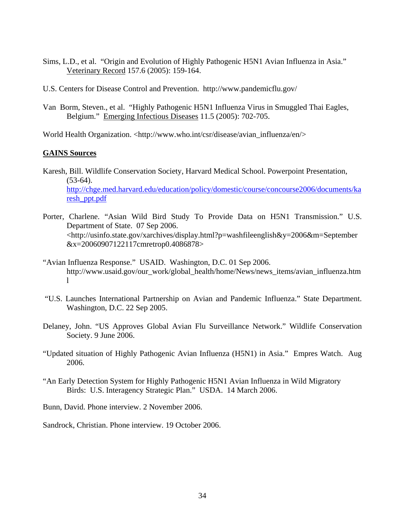- Sims, L.D., et al. "Origin and Evolution of Highly Pathogenic H5N1 Avian Influenza in Asia." Veterinary Record 157.6 (2005): 159-164.
- U.S. Centers for Disease Control and Prevention. http://www.pandemicflu.gov/
- Van Borm, Steven., et al. "Highly Pathogenic H5N1 Influenza Virus in Smuggled Thai Eagles, Belgium." Emerging Infectious Diseases 11.5 (2005): 702-705.

World Health Organization. <http://www.who.int/csr/disease/avian\_influenza/en/>

# **GAINS Sources**

- Karesh, Bill. Wildlife Conservation Society, Harvard Medical School. Powerpoint Presentation,  $(53-64)$ . [http://chge.med.harvard.edu/education/policy/domestic/course/concourse2006/documents/ka](http://chge.med.harvard.edu/education/policy/domestic/course/concourse2006/documents/karesh_ppt.pdf) [resh\\_ppt.pdf](http://chge.med.harvard.edu/education/policy/domestic/course/concourse2006/documents/karesh_ppt.pdf)
- Porter, Charlene. "Asian Wild Bird Study To Provide Data on H5N1 Transmission." U.S. Department of State. 07 Sep 2006. <http://usinfo.state.gov/xarchives/display.html?p=washfileenglish&y=2006&m=September &x=20060907122117cmretrop0.4086878>
- "Avian Influenza Response." USAID. Washington, D.C. 01 Sep 2006. http://www.usaid.gov/our\_work/global\_health/home/News/news\_items/avian\_influenza.htm l
- "U.S. Launches International Partnership on Avian and Pandemic Influenza." State Department. Washington, D.C. 22 Sep 2005.
- Delaney, John. "US Approves Global Avian Flu Surveillance Network." Wildlife Conservation Society. 9 June 2006.
- "Updated situation of Highly Pathogenic Avian Influenza (H5N1) in Asia." Empres Watch. Aug 2006.
- "An Early Detection System for Highly Pathogenic H5N1 Avian Influenza in Wild Migratory Birds: U.S. Interagency Strategic Plan." USDA. 14 March 2006.

Bunn, David. Phone interview. 2 November 2006.

Sandrock, Christian. Phone interview. 19 October 2006.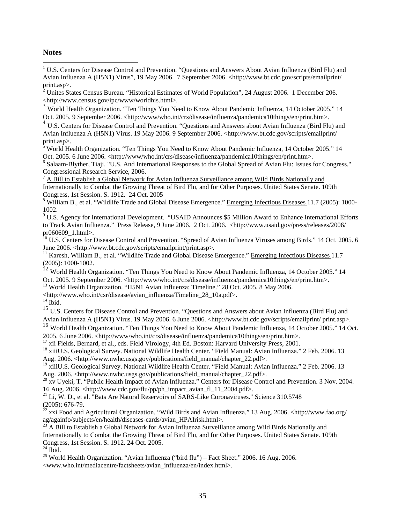#### **Notes**

 $\overline{a}$ 

<sup>1</sup> U.S. Centers for Disease Control and Prevention. "Questions and Answers About Avian Influenza (Bird Flu) and Avian Influenza A (H5N1) Virus", 19 May 2006. 7 September 2006. <http://www.bt.cdc.gov/scripts/emailprint/ print.asp>.

 $^2$  Unites States Census Bureau. "Historical Estimates of World Population", 24 August 2006. 1 December 206. <http://www.census.gov/ipc/www/worldhis.html>.

<sup>3</sup> World Health Organization. "Ten Things You Need to Know About Pandemic Influenza, 14 October 2005." 14 Oct. 2005. 9 September 2006. <http://www/who.int/crs/disease/influenza/pandemica10things/en/print.htm>.

 $4 \text{ U.S. Centers for Disease Control and Prevention. "Questions and Answers about Avian Influence (Bird Flu) and$ Avian Influenza A (H5N1) Virus. 19 May 2006. 9 September 2006. <http://www.bt.cdc.gov/scripts/emailprint/ print.asp>.

<sup>5</sup> World Health Organization. "Ten Things You Need to Know About Pandemic Influenza, 14 October 2005." 14 Oct. 2005. 6 June 2006. <http://www/who.int/crs/disease/influenza/pandemica10things/en/print.htm>.

 $<sup>6</sup>$  Salaam-Blyther, Tiaji. "U.S. And International Responses to the Global Spread of Avian Flu: Issues for Congress."</sup> Congressional Research Service, 2006.<br><sup>7</sup> A Bill to Establish a Global Network for Avian Influenza Surveillance among Wild Birds Nationally and

Internationally to Combat the Growing Threat of Bird Flu, and for Other Purposes. United States Senate. 109th Congress, 1st Session. S. 1912. 24 Oct. 2005

<sup>8</sup> William B., et al. "Wildlife Trade and Global Disease Emergence." Emerging Infectious Diseases 11.7 (2005): 1000-1002.

<sup>9</sup> U.S. Agency for International Development. "USAID Announces \$5 Million Award to Enhance International Efforts to Track Avian Influenza." Press Release, 9 June 2006. 2 Oct. 2006. <http://www.usaid.gov/press/releases/2006/ pr060609\_1.html>.

<sup>10</sup> U.S. Centers for Disease Control and Prevention. "Spread of Avian Influenza Viruses among Birds." 14 Oct. 2005. 6 June 2006. <http://www.bt.cdc.gov/scripts/emailprint/print.asp>.

<sup>11</sup> Karesh, William B., et al. "Wildlife Trade and Global Disease Emergence." Emerging Infectious Diseases 11.7 (2005): 1000-1002.

12 World Health Organization. "Ten Things You Need to Know About Pandemic Influenza, 14 October 2005." 14 Oct. 2005. 9 September 2006. <http://www/who.int/crs/disease/influenza/pandemica10things/en/print.htm>. 13 World Health Organization. "H5N1 Avian Influenza: Timeline." 28 Oct. 2005. 8 May 2006.

<http://www.who.int/csr/disease/avian\_influenza/Timeline\_28\_10a.pdf>. 14 Ibid.

<sup>15</sup> U.S. Centers for Disease Control and Prevention. "Questions and Answers about Avian Influenza (Bird Flu) and Avian Influenza A (H5N1) Virus. 19 May 2006. 6 June 2006. <http://www.bt.cdc.gov/scripts/emailprint/ print.asp>.

16 World Health Organization. "Ten Things You Need to Know About Pandemic Influenza, 14 October 2005." 14 Oct. 2005. 6 June 2006. <http://www/who.int/crs/disease/influenza/pandemica10things/en/print.htm>.

 $17$  xii Fields, Bernard, et al., eds. Field Virology, 4th Ed. Boston: Harvard University Press, 2001.

<sup>18</sup> xiiiU.S. Geological Survey. National Wildlife Health Center. "Field Manual: Avian Influenza." 2 Feb. 2006. 13 Aug. 2006. <http://www.nwhc.usgs.gov/publications/field\_manual/chapter\_22.pdf>.

<sup>19</sup> xiiiU.S. Geological Survey. National Wildlife Health Center. "Field Manual: Avian Influenza." 2 Feb. 2006. 13 Aug. 2006. <http://www.nwhc.usgs.gov/publications/field\_manual/chapter\_22.pdf>.

<sup>20</sup> xv Uyeki, T. "Public Health Impact of Avian Influenza." Centers for Disease Control and Prevention. 3 Nov. 2004.<br>16 Aug. 2006. <http://www.cdc.gov/flu/pp/ph impact avian fl 11 2004.pdf>.

<sup>21</sup> Li, W. D., et al. "Bats Are Natural Reservoirs of SARS-Like Coronaviruses." Science 310.5748 (2005): 676-79.

22 xxi Food and Agricultural Organization. "Wild Birds and Avian Influenza." 13 Aug. 2006. <http://www.fao.org/ ag/againfo/subjects/en/health/diseases-cards/avian\_HPAIrisk.html>.

A Bill to Establish a Global Network for Avian Influenza Surveillance among Wild Birds Nationally and Internationally to Combat the Growing Threat of Bird Flu, and for Other Purposes. United States Senate. 109th Congress, 1st Session. S. 1912. 24 Oct. 2005.

 $^{24}$  Ibid.

<sup>25</sup> World Health Organization. "Avian Influenza ("bird flu") – Fact Sheet." 2006. 16 Aug. 2006. <www.who.int/mediacentre/factsheets/avian\_influenza/en/index.html>.